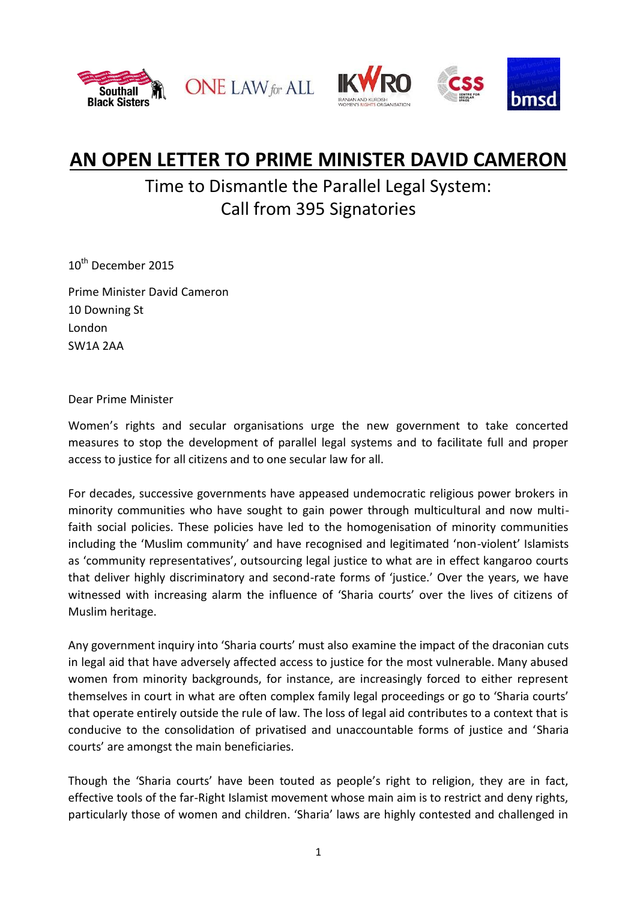





## **AN OPEN LETTER TO PRIME MINISTER DAVID CAMERON**

## Time to Dismantle the Parallel Legal System: Call from 395 Signatories

10<sup>th</sup> December 2015

Prime Minister David Cameron 10 Downing St London SW1A 2AA

Dear Prime Minister

Women's rights and secular organisations urge the new government to take concerted measures to stop the development of parallel legal systems and to facilitate full and proper access to justice for all citizens and to one secular law for all.

For decades, successive governments have appeased undemocratic religious power brokers in minority communities who have sought to gain power through multicultural and now multifaith social policies. These policies have led to the homogenisation of minority communities including the 'Muslim community' and have recognised and legitimated 'non-violent' Islamists as 'community representatives', outsourcing legal justice to what are in effect kangaroo courts that deliver highly discriminatory and second-rate forms of 'justice.' Over the years, we have witnessed with increasing alarm the influence of 'Sharia courts' over the lives of citizens of Muslim heritage.

Any government inquiry into 'Sharia courts' must also examine the impact of the draconian cuts in legal aid that have adversely affected access to justice for the most vulnerable. Many abused women from minority backgrounds, for instance, are increasingly forced to either represent themselves in court in what are often complex family legal proceedings or go to 'Sharia courts' that operate entirely outside the rule of law. The loss of legal aid contributes to a context that is conducive to the consolidation of privatised and unaccountable forms of justice and 'Sharia courts' are amongst the main beneficiaries.

Though the 'Sharia courts' have been touted as people's right to religion, they are in fact, effective tools of the far-Right Islamist movement whose main aim is to restrict and deny rights, particularly those of women and children. 'Sharia' laws are highly contested and challenged in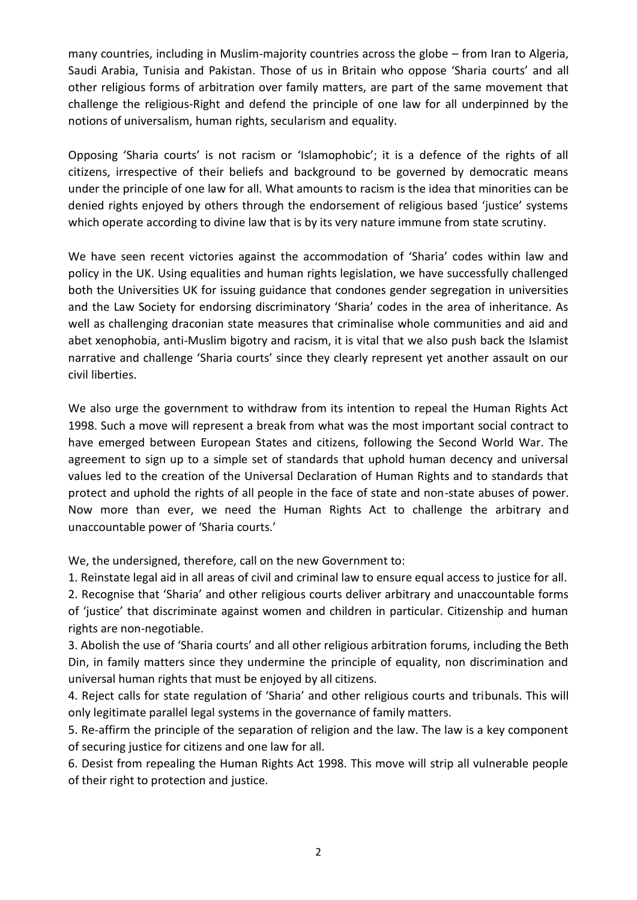many countries, including in Muslim-majority countries across the globe – from Iran to Algeria, Saudi Arabia, Tunisia and Pakistan. Those of us in Britain who oppose 'Sharia courts' and all other religious forms of arbitration over family matters, are part of the same movement that challenge the religious-Right and defend the principle of one law for all underpinned by the notions of universalism, human rights, secularism and equality.

Opposing 'Sharia courts' is not racism or 'Islamophobic'; it is a defence of the rights of all citizens, irrespective of their beliefs and background to be governed by democratic means under the principle of one law for all. What amounts to racism is the idea that minorities can be denied rights enjoyed by others through the endorsement of religious based 'justice' systems which operate according to divine law that is by its very nature immune from state scrutiny.

We have seen recent victories against the accommodation of 'Sharia' codes within law and policy in the UK. Using equalities and human rights legislation, we have successfully challenged both the Universities UK for issuing guidance that condones gender segregation in universities and the Law Society for endorsing discriminatory 'Sharia' codes in the area of inheritance. As well as challenging draconian state measures that criminalise whole communities and aid and abet xenophobia, anti-Muslim bigotry and racism, it is vital that we also push back the Islamist narrative and challenge 'Sharia courts' since they clearly represent yet another assault on our civil liberties.

We also urge the government to withdraw from its intention to repeal the Human Rights Act 1998. Such a move will represent a break from what was the most important social contract to have emerged between European States and citizens, following the Second World War. The agreement to sign up to a simple set of standards that uphold human decency and universal values led to the creation of the Universal Declaration of Human Rights and to standards that protect and uphold the rights of all people in the face of state and non-state abuses of power. Now more than ever, we need the Human Rights Act to challenge the arbitrary and unaccountable power of 'Sharia courts.'

We, the undersigned, therefore, call on the new Government to:

1. Reinstate legal aid in all areas of civil and criminal law to ensure equal access to justice for all. 2. Recognise that 'Sharia' and other religious courts deliver arbitrary and unaccountable forms of 'justice' that discriminate against women and children in particular. Citizenship and human rights are non-negotiable.

3. Abolish the use of 'Sharia courts' and all other religious arbitration forums, including the Beth Din, in family matters since they undermine the principle of equality, non discrimination and universal human rights that must be enjoyed by all citizens.

4. Reject calls for state regulation of 'Sharia' and other religious courts and tribunals. This will only legitimate parallel legal systems in the governance of family matters.

5. Re-affirm the principle of the separation of religion and the law. The law is a key component of securing justice for citizens and one law for all.

6. Desist from repealing the Human Rights Act 1998. This move will strip all vulnerable people of their right to protection and justice.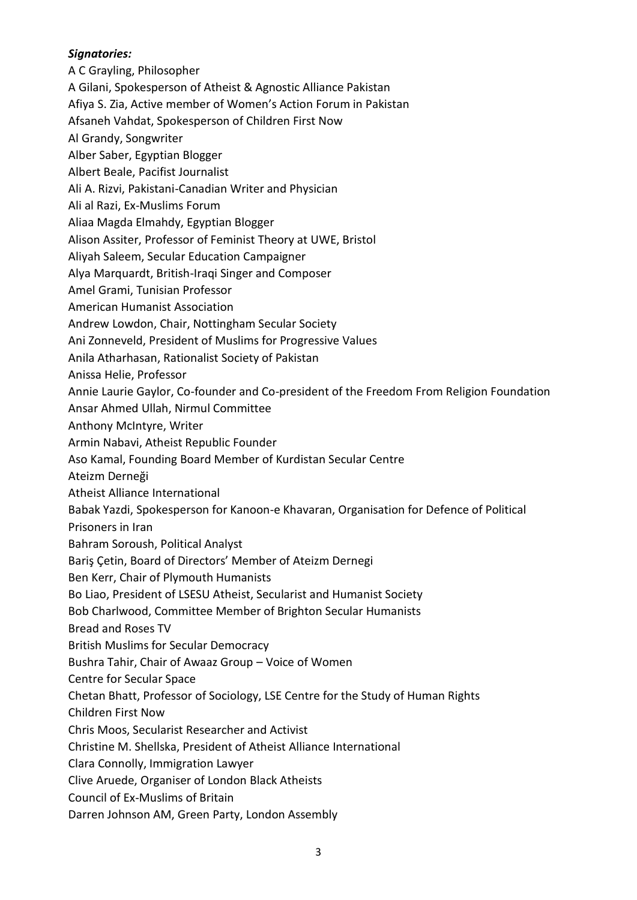## *Signatories:*

A C Grayling, Philosopher A Gilani, Spokesperson of Atheist & Agnostic Alliance Pakistan Afiya S. Zia, Active member of Women's Action Forum in Pakistan Afsaneh Vahdat, Spokesperson of Children First Now Al Grandy, Songwriter Alber Saber, Egyptian Blogger Albert Beale, Pacifist Journalist Ali A. Rizvi, Pakistani-Canadian Writer and Physician Ali al Razi, Ex-Muslims Forum Aliaa Magda Elmahdy, Egyptian Blogger Alison Assiter, Professor of Feminist Theory at UWE, Bristol Aliyah Saleem, Secular Education Campaigner Alya Marquardt, British-Iraqi Singer and Composer Amel Grami, Tunisian Professor American Humanist Association Andrew Lowdon, Chair, Nottingham Secular Society Ani Zonneveld, President of Muslims for Progressive Values Anila Atharhasan, Rationalist Society of Pakistan Anissa Helie, Professor Annie Laurie Gaylor, Co-founder and Co-president of the Freedom From Religion Foundation Ansar Ahmed Ullah, Nirmul Committee Anthony McIntyre, Writer Armin Nabavi, Atheist Republic Founder Aso Kamal, Founding Board Member of Kurdistan Secular Centre Ateizm Derneği Atheist Alliance International Babak Yazdi, Spokesperson for Kanoon-e Khavaran, Organisation for Defence of Political Prisoners in Iran Bahram Soroush, Political Analyst Bariş Çetin, Board of Directors' Member of Ateizm Dernegi Ben Kerr, Chair of Plymouth Humanists Bo Liao, President of LSESU Atheist, Secularist and Humanist Society Bob Charlwood, Committee Member of Brighton Secular Humanists Bread and Roses TV British Muslims for Secular Democracy Bushra Tahir, Chair of Awaaz Group – Voice of Women Centre for Secular Space Chetan Bhatt, Professor of Sociology, LSE Centre for the Study of Human Rights Children First Now Chris Moos, Secularist Researcher and Activist Christine M. Shellska, President of Atheist Alliance International Clara Connolly, Immigration Lawyer Clive Aruede, Organiser of London Black Atheists Council of Ex-Muslims of Britain Darren Johnson AM, Green Party, London Assembly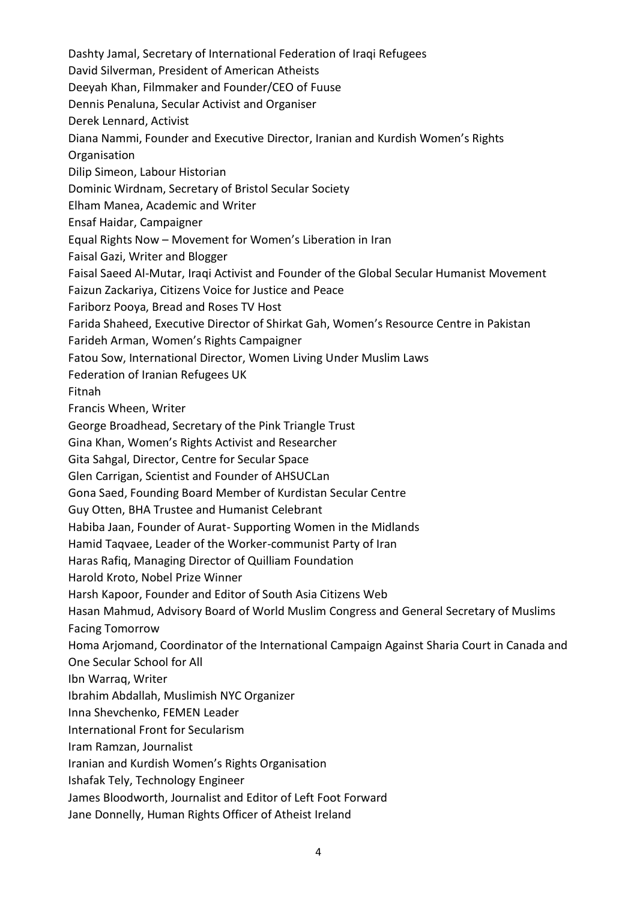Dashty Jamal, Secretary of International Federation of Iraqi Refugees

David Silverman, President of American Atheists

Deeyah Khan, Filmmaker and Founder/CEO of Fuuse

Dennis Penaluna, Secular Activist and Organiser

Derek Lennard, Activist

Diana Nammi, Founder and Executive Director, Iranian and Kurdish Women's Rights

**Organisation** 

Dilip Simeon, Labour Historian

Dominic Wirdnam, Secretary of Bristol Secular Society

Elham Manea, Academic and Writer

Ensaf Haidar, Campaigner

Equal Rights Now – Movement for Women's Liberation in Iran

Faisal Gazi, Writer and Blogger

Faisal Saeed Al-Mutar, Iraqi Activist and Founder of the Global Secular Humanist Movement

Faizun Zackariya, Citizens Voice for Justice and Peace

Fariborz Pooya, Bread and Roses TV Host

Farida Shaheed, Executive Director of Shirkat Gah, Women's Resource Centre in Pakistan

Farideh Arman, Women's Rights Campaigner

Fatou Sow, International Director, Women Living Under Muslim Laws

Federation of Iranian Refugees UK

Fitnah

Francis Wheen, Writer

George Broadhead, Secretary of the Pink Triangle Trust

Gina Khan, Women's Rights Activist and Researcher

Gita Sahgal, Director, Centre for Secular Space

Glen Carrigan, Scientist and Founder of AHSUCLan

Gona Saed, Founding Board Member of Kurdistan Secular Centre

Guy Otten, BHA Trustee and Humanist Celebrant

Habiba Jaan, Founder of Aurat- Supporting Women in the Midlands

Hamid Taqvaee, Leader of the Worker-communist Party of Iran

Haras Rafiq, Managing Director of Quilliam Foundation

Harold Kroto, Nobel Prize Winner

Harsh Kapoor, Founder and Editor of South Asia Citizens Web

Hasan Mahmud, Advisory Board of World Muslim Congress and General Secretary of Muslims Facing Tomorrow

Homa Arjomand, Coordinator of the International Campaign Against Sharia Court in Canada and One Secular School for All

Ibn Warraq, Writer

Ibrahim Abdallah, Muslimish NYC Organizer

Inna Shevchenko, FEMEN Leader

International Front for Secularism

Iram Ramzan, Journalist

Iranian and Kurdish Women's Rights Organisation

Ishafak Tely, Technology Engineer

James Bloodworth, Journalist and Editor of Left Foot Forward

Jane Donnelly, Human Rights Officer of Atheist Ireland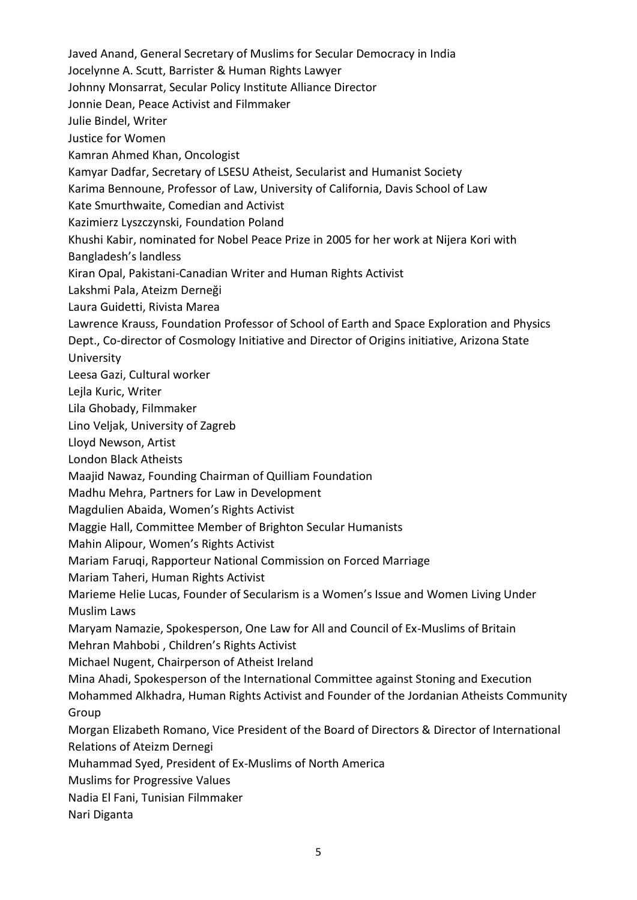Javed Anand, General Secretary of Muslims for Secular Democracy in India Jocelynne A. Scutt, Barrister & Human Rights Lawyer Johnny Monsarrat, Secular Policy Institute Alliance Director Jonnie Dean, Peace Activist and Filmmaker Julie Bindel, Writer Justice for Women Kamran Ahmed Khan, Oncologist Kamyar Dadfar, Secretary of LSESU Atheist, Secularist and Humanist Society Karima Bennoune, Professor of Law, University of California, Davis School of Law Kate Smurthwaite, Comedian and Activist Kazimierz Lyszczynski, Foundation Poland Khushi Kabir, nominated for Nobel Peace Prize in 2005 for her work at Nijera Kori with Bangladesh's landless Kiran Opal, Pakistani-Canadian Writer and Human Rights Activist Lakshmi Pala, Ateizm Derneği Laura Guidetti, Rivista Marea Lawrence Krauss, Foundation Professor of School of Earth and Space Exploration and Physics Dept., Co-director of Cosmology Initiative and Director of Origins initiative, Arizona State University Leesa Gazi, Cultural worker Lejla Kuric, Writer Lila Ghobady, Filmmaker Lino Veljak, University of Zagreb Lloyd Newson, Artist London Black Atheists Maajid Nawaz, Founding Chairman of Quilliam Foundation Madhu Mehra, Partners for Law in Development Magdulien Abaida, Women's Rights Activist Maggie Hall, Committee Member of Brighton Secular Humanists Mahin Alipour, Women's Rights Activist Mariam Faruqi, Rapporteur National Commission on Forced Marriage Mariam Taheri, Human Rights Activist Marieme Helie Lucas, Founder of Secularism is a Women's Issue and Women Living Under Muslim Laws Maryam Namazie, Spokesperson, One Law for All and Council of Ex-Muslims of Britain Mehran Mahbobi , Children's Rights Activist Michael Nugent, Chairperson of Atheist Ireland Mina Ahadi, Spokesperson of the International Committee against Stoning and Execution Mohammed Alkhadra, Human Rights Activist and Founder of the Jordanian Atheists Community Group Morgan Elizabeth Romano, Vice President of the Board of Directors & Director of International Relations of Ateizm Dernegi Muhammad Syed, President of Ex-Muslims of North America Muslims for Progressive Values Nadia El Fani, Tunisian Filmmaker Nari Diganta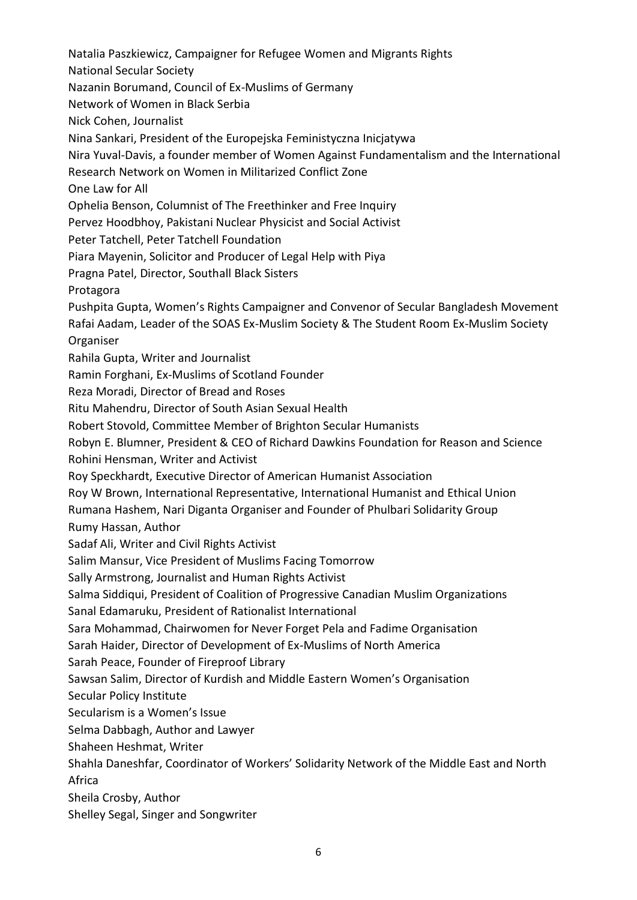Natalia Paszkiewicz, Campaigner for Refugee Women and Migrants Rights National Secular Society Nazanin Borumand, Council of Ex-Muslims of Germany Network of Women in Black Serbia Nick Cohen, Journalist Nina Sankari, President of the Europejska Feministyczna Inicjatywa Nira Yuval-Davis, a founder member of Women Against Fundamentalism and the International Research Network on Women in Militarized Conflict Zone One Law for All Ophelia Benson, Columnist of The Freethinker and Free Inquiry Pervez Hoodbhoy, Pakistani Nuclear Physicist and Social Activist Peter Tatchell, Peter Tatchell Foundation Piara Mayenin, Solicitor and Producer of Legal Help with Piya Pragna Patel, Director, Southall Black Sisters Protagora Pushpita Gupta, Women's Rights Campaigner and Convenor of Secular Bangladesh Movement Rafai Aadam, Leader of the SOAS Ex-Muslim Society & The Student Room Ex-Muslim Society Organiser Rahila Gupta, Writer and Journalist Ramin Forghani, Ex-Muslims of Scotland Founder Reza Moradi, Director of Bread and Roses Ritu Mahendru, Director of South Asian Sexual Health Robert Stovold, Committee Member of Brighton Secular Humanists Robyn E. Blumner, President & CEO of Richard Dawkins Foundation for Reason and Science Rohini Hensman, Writer and Activist Roy Speckhardt, Executive Director of American Humanist Association Roy W Brown, International Representative, International Humanist and Ethical Union Rumana Hashem, Nari Diganta Organiser and Founder of Phulbari Solidarity Group Rumy Hassan, Author Sadaf Ali, Writer and Civil Rights Activist Salim Mansur, Vice President of Muslims Facing Tomorrow Sally Armstrong, Journalist and Human Rights Activist Salma Siddiqui, President of Coalition of Progressive Canadian Muslim Organizations Sanal Edamaruku, President of Rationalist International Sara Mohammad, Chairwomen for Never Forget Pela and Fadime Organisation Sarah Haider, Director of Development of Ex-Muslims of North America Sarah Peace, Founder of Fireproof Library Sawsan Salim, Director of Kurdish and Middle Eastern Women's Organisation Secular Policy Institute Secularism is a Women's Issue Selma Dabbagh, Author and Lawyer Shaheen Heshmat, Writer Shahla Daneshfar, Coordinator of Workers' Solidarity Network of the Middle East and North Africa Sheila Crosby, Author Shelley Segal, Singer and Songwriter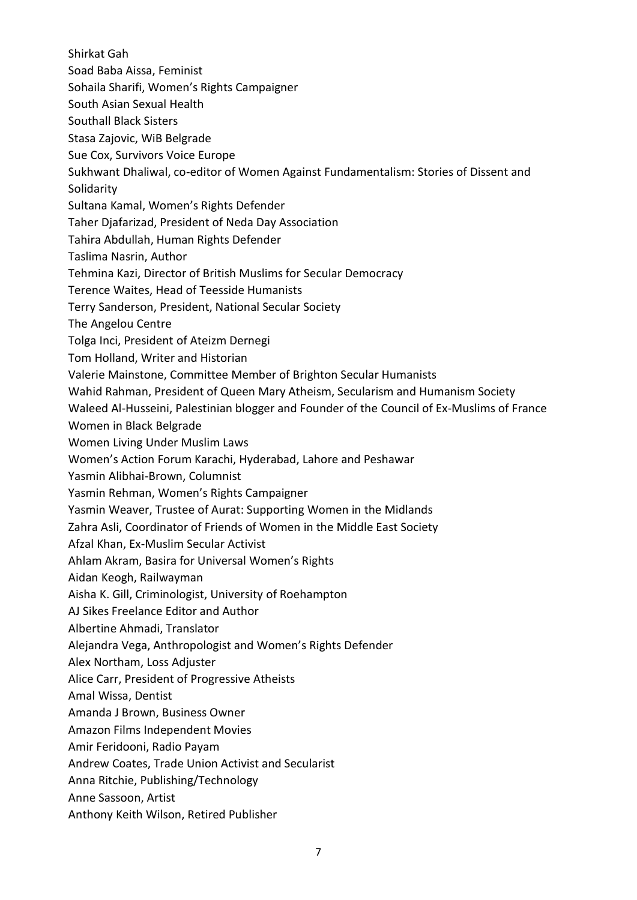Shirkat Gah

- Soad Baba Aissa, Feminist
- Sohaila Sharifi, Women's Rights Campaigner
- South Asian Sexual Health
- Southall Black Sisters
- Stasa Zajovic, WiB Belgrade
- Sue Cox, Survivors Voice Europe
- Sukhwant Dhaliwal, co-editor of Women Against Fundamentalism: Stories of Dissent and
- Solidarity
- Sultana Kamal, Women's Rights Defender
- Taher Djafarizad, President of Neda Day Association
- Tahira Abdullah, Human Rights Defender
- Taslima Nasrin, Author
- Tehmina Kazi, Director of British Muslims for Secular Democracy
- Terence Waites, Head of Teesside Humanists
- Terry Sanderson, President, National Secular Society
- The Angelou Centre
- Tolga Inci, President of Ateizm Dernegi
- Tom Holland, Writer and Historian
- Valerie Mainstone, Committee Member of Brighton Secular Humanists
- Wahid Rahman, President of Queen Mary Atheism, Secularism and Humanism Society
- Waleed Al-Husseini, Palestinian blogger and Founder of the Council of Ex-Muslims of France
- Women in Black Belgrade
- Women Living Under Muslim Laws
- Women's Action Forum Karachi, Hyderabad, Lahore and Peshawar
- Yasmin Alibhai-Brown, Columnist
- Yasmin Rehman, Women's Rights Campaigner
- Yasmin Weaver, Trustee of Aurat: Supporting Women in the Midlands
- Zahra Asli, Coordinator of Friends of Women in the Middle East Society
- Afzal Khan, Ex-Muslim Secular Activist
- Ahlam Akram, Basira for Universal Women's Rights
- Aidan Keogh, Railwayman
- Aisha K. Gill, Criminologist, University of Roehampton
- AJ Sikes Freelance Editor and Author
- Albertine Ahmadi, Translator
- Alejandra Vega, Anthropologist and Women's Rights Defender
- Alex Northam, Loss Adjuster
- Alice Carr, President of Progressive Atheists
- Amal Wissa, Dentist
- Amanda J Brown, Business Owner
- Amazon Films Independent Movies
- Amir Feridooni, Radio Payam
- Andrew Coates, Trade Union Activist and Secularist
- Anna Ritchie, Publishing/Technology
- Anne Sassoon, Artist
- Anthony Keith Wilson, Retired Publisher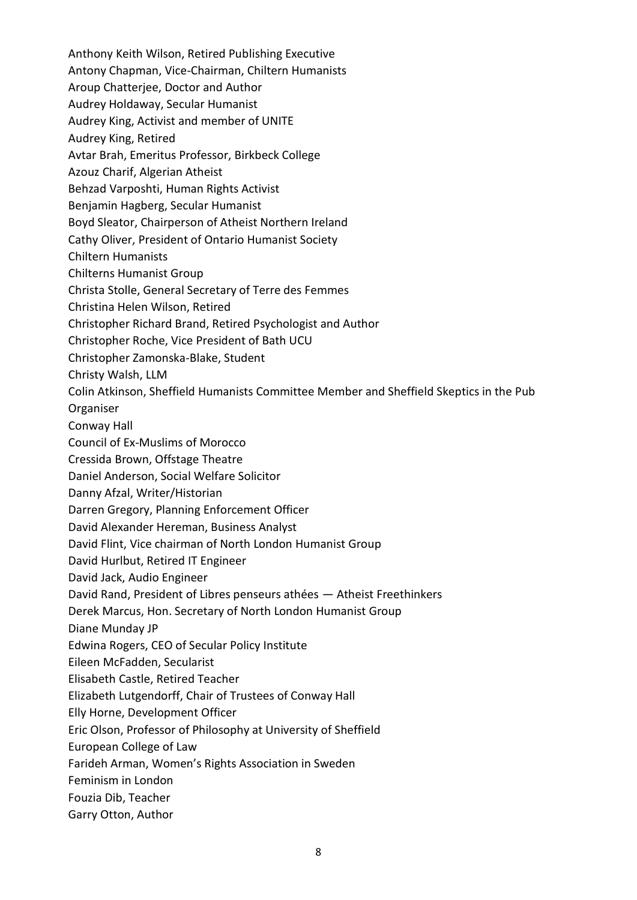Anthony Keith Wilson, Retired Publishing Executive Antony Chapman, Vice-Chairman, Chiltern Humanists Aroup Chatterjee, Doctor and Author Audrey Holdaway, Secular Humanist Audrey King, Activist and member of UNITE Audrey King, Retired Avtar Brah, Emeritus Professor, Birkbeck College Azouz Charif, Algerian Atheist Behzad Varposhti, Human Rights Activist Benjamin Hagberg, Secular Humanist Boyd Sleator, Chairperson of Atheist Northern Ireland Cathy Oliver, President of Ontario Humanist Society Chiltern Humanists Chilterns Humanist Group Christa Stolle, General Secretary of Terre des Femmes Christina Helen Wilson, Retired Christopher Richard Brand, Retired Psychologist and Author Christopher Roche, Vice President of Bath UCU Christopher Zamonska-Blake, Student Christy Walsh, LLM Colin Atkinson, Sheffield Humanists Committee Member and Sheffield Skeptics in the Pub Organiser Conway Hall Council of Ex-Muslims of Morocco Cressida Brown, Offstage Theatre Daniel Anderson, Social Welfare Solicitor Danny Afzal, Writer/Historian Darren Gregory, Planning Enforcement Officer David Alexander Hereman, Business Analyst David Flint, Vice chairman of North London Humanist Group David Hurlbut, Retired IT Engineer David Jack, Audio Engineer David Rand, President of Libres penseurs athées — Atheist Freethinkers Derek Marcus, Hon. Secretary of North London Humanist Group Diane Munday JP Edwina Rogers, CEO of Secular Policy Institute Eileen McFadden, Secularist Elisabeth Castle, Retired Teacher Elizabeth Lutgendorff, Chair of Trustees of Conway Hall Elly Horne, Development Officer Eric Olson, Professor of Philosophy at University of Sheffield European College of Law Farideh Arman, Women's Rights Association in Sweden Feminism in London

- Fouzia Dib, Teacher
- Garry Otton, Author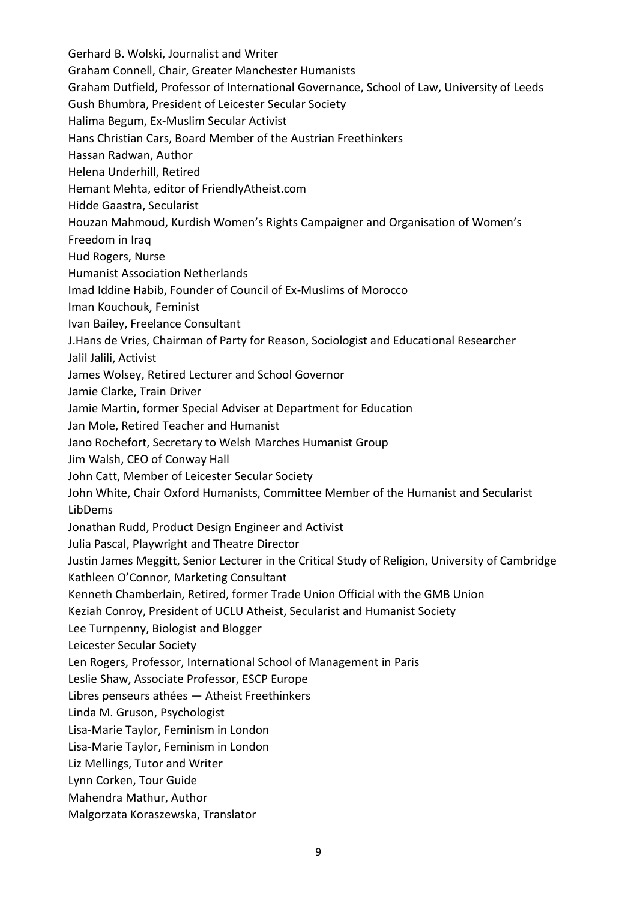Gerhard B. Wolski, Journalist and Writer Graham Connell, Chair, Greater Manchester Humanists Graham Dutfield, Professor of International Governance, School of Law, University of Leeds Gush Bhumbra, President of Leicester Secular Society Halima Begum, Ex-Muslim Secular Activist Hans Christian Cars, Board Member of the Austrian Freethinkers Hassan Radwan, Author Helena Underhill, Retired Hemant Mehta, editor of FriendlyAtheist.com Hidde Gaastra, Secularist Houzan Mahmoud, Kurdish Women's Rights Campaigner and Organisation of Women's Freedom in Iraq Hud Rogers, Nurse Humanist Association Netherlands Imad Iddine Habib, Founder of Council of Ex-Muslims of Morocco Iman Kouchouk, Feminist Ivan Bailey, Freelance Consultant J.Hans de Vries, Chairman of Party for Reason, Sociologist and Educational Researcher Jalil Jalili, Activist James Wolsey, Retired Lecturer and School Governor Jamie Clarke, Train Driver Jamie Martin, former Special Adviser at Department for Education Jan Mole, Retired Teacher and Humanist Jano Rochefort, Secretary to Welsh Marches Humanist Group Jim Walsh, CEO of Conway Hall John Catt, Member of Leicester Secular Society John White, Chair Oxford Humanists, Committee Member of the Humanist and Secularist LibDems Jonathan Rudd, Product Design Engineer and Activist Julia Pascal, Playwright and Theatre Director Justin James Meggitt, Senior Lecturer in the Critical Study of Religion, University of Cambridge Kathleen O'Connor, Marketing Consultant Kenneth Chamberlain, Retired, former Trade Union Official with the GMB Union Keziah Conroy, President of UCLU Atheist, Secularist and Humanist Society Lee Turnpenny, Biologist and Blogger Leicester Secular Society Len Rogers, Professor, International School of Management in Paris Leslie Shaw, Associate Professor, ESCP Europe Libres penseurs athées — Atheist Freethinkers Linda M. Gruson, Psychologist Lisa-Marie Taylor, Feminism in London Lisa-Marie Taylor, Feminism in London Liz Mellings, Tutor and Writer Lynn Corken, Tour Guide

Mahendra Mathur, Author

## Malgorzata Koraszewska, Translator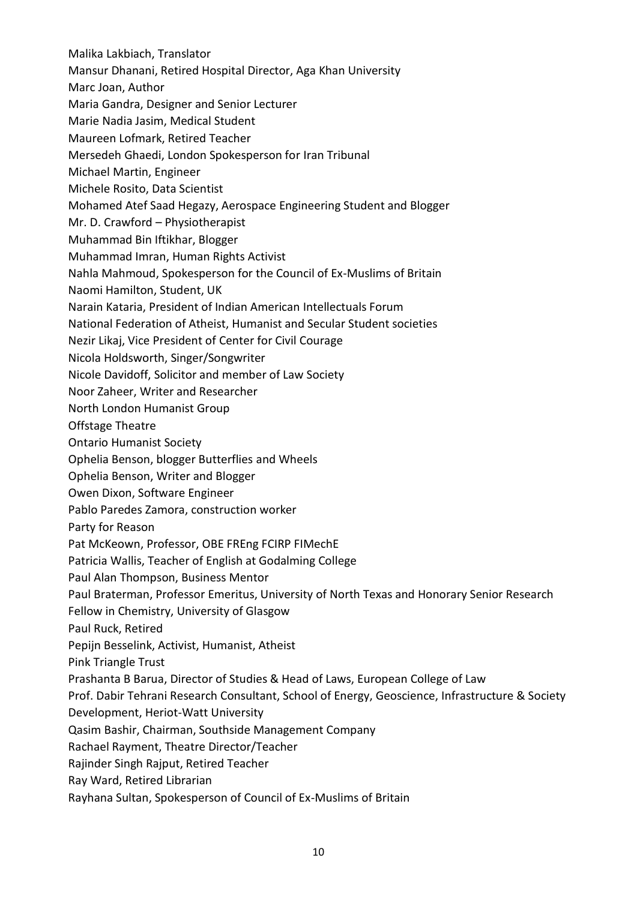Malika Lakbiach, Translator Mansur Dhanani, Retired Hospital Director, Aga Khan University Marc Joan, Author Maria Gandra, Designer and Senior Lecturer Marie Nadia Jasim, Medical Student Maureen Lofmark, Retired Teacher Mersedeh Ghaedi, London Spokesperson for Iran Tribunal Michael Martin, Engineer Michele Rosito, Data Scientist Mohamed Atef Saad Hegazy, Aerospace Engineering Student and Blogger Mr. D. Crawford – Physiotherapist Muhammad Bin Iftikhar, Blogger Muhammad Imran, Human Rights Activist Nahla Mahmoud, Spokesperson for the Council of Ex-Muslims of Britain Naomi Hamilton, Student, UK Narain Kataria, President of Indian American Intellectuals Forum National Federation of Atheist, Humanist and Secular Student societies Nezir Likaj, Vice President of Center for Civil Courage Nicola Holdsworth, Singer/Songwriter Nicole Davidoff, Solicitor and member of Law Society Noor Zaheer, Writer and Researcher North London Humanist Group Offstage Theatre Ontario Humanist Society Ophelia Benson, blogger Butterflies and Wheels Ophelia Benson, Writer and Blogger Owen Dixon, Software Engineer Pablo Paredes Zamora, construction worker Party for Reason Pat McKeown, Professor, OBE FREng FCIRP FIMechE Patricia Wallis, Teacher of English at Godalming College Paul Alan Thompson, Business Mentor Paul Braterman, Professor Emeritus, University of North Texas and Honorary Senior Research Fellow in Chemistry, University of Glasgow Paul Ruck, Retired Pepijn Besselink, Activist, Humanist, Atheist Pink Triangle Trust Prashanta B Barua, Director of Studies & Head of Laws, European College of Law Prof. Dabir Tehrani Research Consultant, School of Energy, Geoscience, Infrastructure & Society Development, Heriot-Watt University Qasim Bashir, Chairman, Southside Management Company Rachael Rayment, Theatre Director/Teacher Rajinder Singh Rajput, Retired Teacher Ray Ward, Retired Librarian Rayhana Sultan, Spokesperson of Council of Ex-Muslims of Britain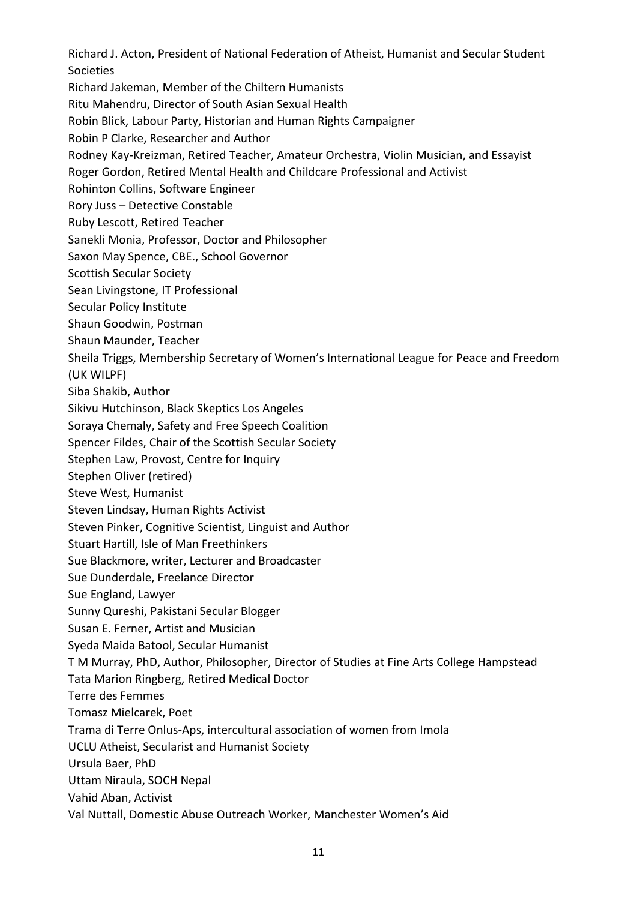Richard J. Acton, President of National Federation of Atheist, Humanist and Secular Student Societies

Richard Jakeman, Member of the Chiltern Humanists

Ritu Mahendru, Director of South Asian Sexual Health

Robin Blick, Labour Party, Historian and Human Rights Campaigner

Robin P Clarke, Researcher and Author

Rodney Kay-Kreizman, Retired Teacher, Amateur Orchestra, Violin Musician, and Essayist

Roger Gordon, Retired Mental Health and Childcare Professional and Activist

Rohinton Collins, Software Engineer

Rory Juss – Detective Constable

Ruby Lescott, Retired Teacher

Sanekli Monia, Professor, Doctor and Philosopher

Saxon May Spence, CBE., School Governor

Scottish Secular Society

Sean Livingstone, IT Professional

Secular Policy Institute

Shaun Goodwin, Postman

Shaun Maunder, Teacher

Sheila Triggs, Membership Secretary of Women's International League for Peace and Freedom (UK WILPF)

Siba Shakib, Author

Sikivu Hutchinson, Black Skeptics Los Angeles

Soraya Chemaly, Safety and Free Speech Coalition

Spencer Fildes, Chair of the Scottish Secular Society

Stephen Law, Provost, Centre for Inquiry

Stephen Oliver (retired)

Steve West, Humanist

Steven Lindsay, Human Rights Activist

Steven Pinker, Cognitive Scientist, Linguist and Author

Stuart Hartill, Isle of Man Freethinkers

Sue Blackmore, writer, Lecturer and Broadcaster

Sue Dunderdale, Freelance Director

Sue England, Lawyer

Sunny Qureshi, Pakistani Secular Blogger

Susan E. Ferner, Artist and Musician

Syeda Maida Batool, Secular Humanist

T M Murray, PhD, Author, Philosopher, Director of Studies at Fine Arts College Hampstead

Tata Marion Ringberg, Retired Medical Doctor

Terre des Femmes

Tomasz Mielcarek, Poet

Trama di Terre Onlus-Aps, intercultural association of women from Imola

UCLU Atheist, Secularist and Humanist Society

Ursula Baer, PhD

Uttam Niraula, SOCH Nepal

Vahid Aban, Activist

Val Nuttall, Domestic Abuse Outreach Worker, Manchester Women's Aid